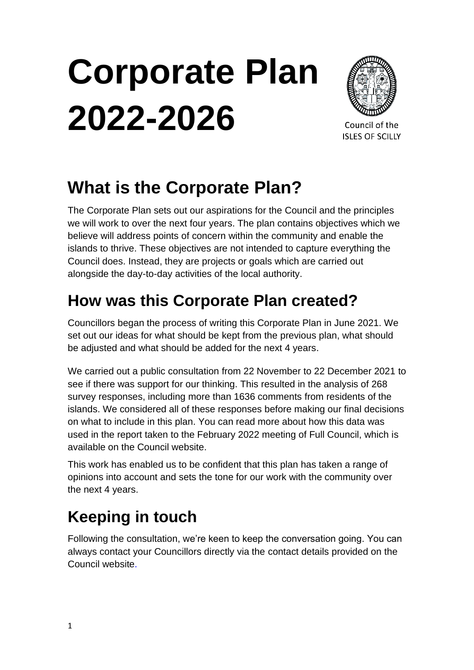# **Corporate Plan 2022-2026**



Council of the **ISLES OF SCILLY** 

### **What is the Corporate Plan?**

The Corporate Plan sets out our aspirations for the Council and the principles we will work to over the next four years. The plan contains objectives which we believe will address points of concern within the community and enable the islands to thrive. These objectives are not intended to capture everything the Council does. Instead, they are projects or goals which are carried out alongside the day-to-day activities of the local authority.

### **How was this Corporate Plan created?**

Councillors began the process of writing this Corporate Plan in June 2021. We set out our ideas for what should be kept from the previous plan, what should be adjusted and what should be added for the next 4 years.

We carried out a public consultation from 22 November to 22 December 2021 to see if there was support for our thinking. This resulted in the analysis of 268 survey responses, including more than 1636 comments from residents of the islands. We considered all of these responses before making our final decisions on what to include in this plan. You can read more about how this data was used in the report taken to the February 2022 meeting of Full Council, which is available on the Council website.

This work has enabled us to be confident that this plan has taken a range of opinions into account and sets the tone for our work with the community over the next 4 years.

### **Keeping in touch**

Following the consultation, we're keen to keep the conversation going. You can always contact your Councillors directly via the contact details provided on the Council website.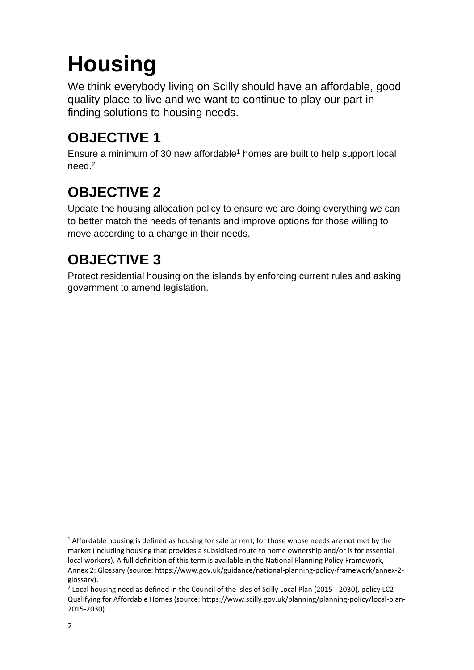### **Housing**

We think everybody living on Scilly should have an affordable, good quality place to live and we want to continue to play our part in finding solutions to housing needs.

### **OBJECTIVE 1**

Ensure a minimum of 30 new affordable<sup>1</sup> homes are built to help support local need $<sup>2</sup>$ </sup>

### **OBJECTIVE 2**

Update the housing allocation policy to ensure we are doing everything we can to better match the needs of tenants and improve options for those willing to move according to a change in their needs.

### **OBJECTIVE 3**

Protect residential housing on the islands by enforcing current rules and asking government to amend legislation.

 $1$  Affordable housing is defined as housing for sale or rent, for those whose needs are not met by the market (including housing that provides a subsidised route to home ownership and/or is for essential local workers). A full definition of this term is available in the National Planning Policy Framework, Annex 2: Glossary (source: https://www.gov.uk/guidance/national-planning-policy-framework/annex-2 glossary).

<sup>&</sup>lt;sup>2</sup> Local housing need as defined in the Council of the Isles of Scilly Local Plan (2015 - 2030), policy LC2 Qualifying for Affordable Homes (source: [https://www.scilly.gov.uk/planning/planning-policy/local-plan-](https://www.scilly.gov.uk/planning/planning-policy/local-plan-2015-2030).)[2015-2030\).](https://www.scilly.gov.uk/planning/planning-policy/local-plan-2015-2030).)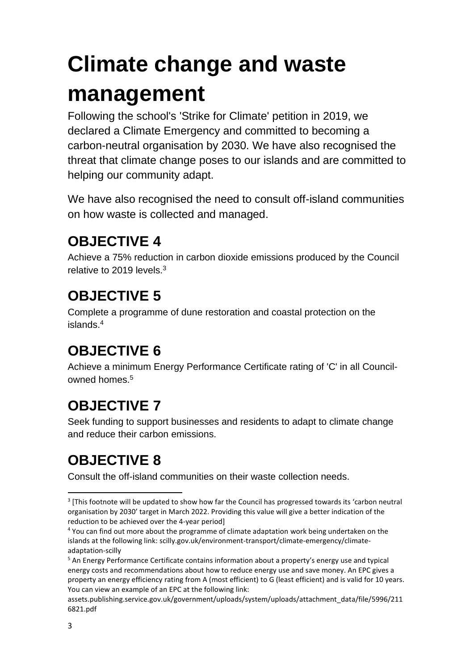### **Climate change and waste management**

Following the school's 'Strike for Climate' petition in 2019, we declared a Climate Emergency and committed to becoming a carbon-neutral organisation by 2030. We have also recognised the threat that climate change poses to our islands and are committed to helping our community adapt.

We have also recognised the need to consult off-island communities on how waste is collected and managed.

### **OBJECTIVE 4**

Achieve a 75% reduction in carbon dioxide emissions produced by the Council relative to 2019 levels.<sup>3</sup>

#### **OBJECTIVE 5**

Complete a programme of dune restoration and coastal protection on the islands.<sup>4</sup>

### **OBJECTIVE 6**

Achieve a minimum Energy Performance Certificate rating of 'C' in all Councilowned homes.<sup>5</sup>

### **OBJECTIVE 7**

Seek funding to support businesses and residents to adapt to climate change and reduce their carbon emissions.

### **OBJECTIVE 8**

Consult the off-island communities on their waste collection needs.

<sup>&</sup>lt;sup>3</sup> [This footnote will be updated to show how far the Council has progressed towards its 'carbon neutral organisation by 2030' target in March 2022. Providing this value will give a better indication of the reduction to be achieved over the 4-year period]

<sup>4</sup> You can find out more about the programme of climate adaptation work being undertaken on the islands at the following link: scilly.gov.uk/environment-transport/climate-emergency/climateadaptation-scilly

<sup>5</sup> An Energy Performance Certificate contains information about a property's energy use and typical energy costs and recommendations about how to reduce energy use and save money. An EPC gives a property an energy efficiency rating from A (most efficient) to G (least efficient) and is valid for 10 years. You can view an example of an EPC at the following link:

assets.publishing.service.gov.uk/government/uploads/system/uploads/attachment\_data/file/5996/211 6821.pdf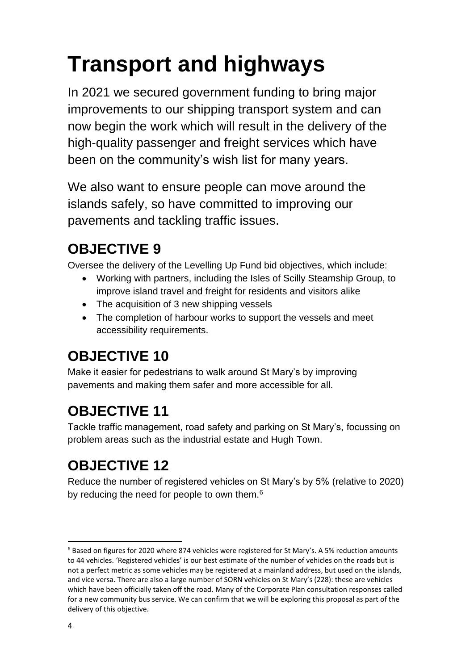## **Transport and highways**

In 2021 we secured government funding to bring major improvements to our shipping transport system and can now begin the work which will result in the delivery of the high-quality passenger and freight services which have been on the community's wish list for many years.

We also want to ensure people can move around the islands safely, so have committed to improving our pavements and tackling traffic issues.

### **OBJECTIVE 9**

Oversee the delivery of the Levelling Up Fund bid objectives, which include:

- Working with partners, including the Isles of Scilly Steamship Group, to improve island travel and freight for residents and visitors alike
- The acquisition of 3 new shipping vessels
- The completion of harbour works to support the vessels and meet accessibility requirements.

### **OBJECTIVE 10**

Make it easier for pedestrians to walk around St Mary's by improving pavements and making them safer and more accessible for all.

### **OBJECTIVE 11**

Tackle traffic management, road safety and parking on St Mary's, focussing on problem areas such as the industrial estate and Hugh Town.

### **OBJECTIVE 12**

Reduce the number of registered vehicles on St Mary's by 5% (relative to 2020) by reducing the need for people to own them.<sup>6</sup>

<sup>6</sup> Based on figures for 2020 where 874 vehicles were registered for St Mary's. A 5% reduction amounts to 44 vehicles. 'Registered vehicles' is our best estimate of the number of vehicles on the roads but is not a perfect metric as some vehicles may be registered at a mainland address, but used on the islands, and vice versa. There are also a large number of SORN vehicles on St Mary's (228): these are vehicles which have been officially taken off the road. Many of the Corporate Plan consultation responses called for a new community bus service. We can confirm that we will be exploring this proposal as part of the delivery of this objective.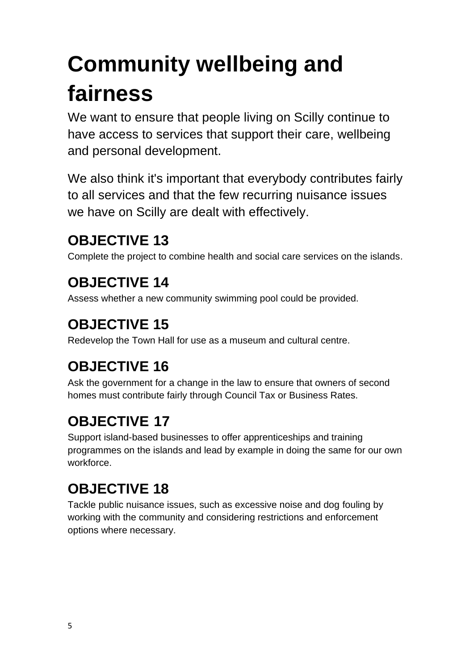### **Community wellbeing and fairness**

We want to ensure that people living on Scilly continue to have access to services that support their care, wellbeing and personal development.

We also think it's important that everybody contributes fairly to all services and that the few recurring nuisance issues we have on Scilly are dealt with effectively.

#### **OBJECTIVE 13**

Complete the project to combine health and social care services on the islands.

### **OBJECTIVE 14**

Assess whether a new community swimming pool could be provided.

### **OBJECTIVE 15**

Redevelop the Town Hall for use as a museum and cultural centre.

### **OBJECTIVE 16**

Ask the government for a change in the law to ensure that owners of second homes must contribute fairly through Council Tax or Business Rates.

### **OBJECTIVE 17**

Support island-based businesses to offer apprenticeships and training programmes on the islands and lead by example in doing the same for our own workforce.

### **OBJECTIVE 18**

Tackle public nuisance issues, such as excessive noise and dog fouling by working with the community and considering restrictions and enforcement options where necessary.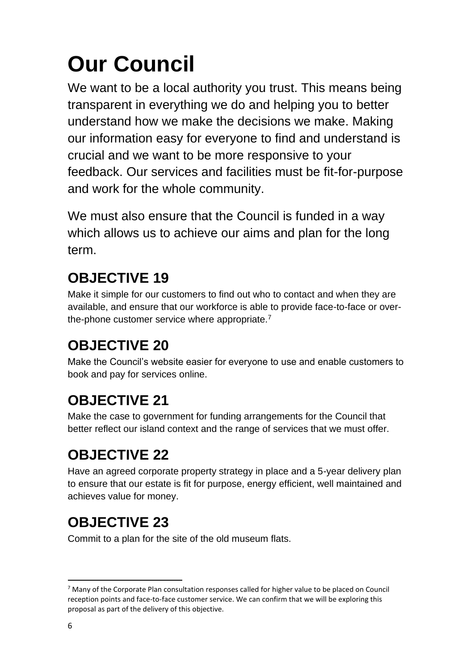# **Our Council**

We want to be a local authority you trust. This means being transparent in everything we do and helping you to better understand how we make the decisions we make. Making our information easy for everyone to find and understand is crucial and we want to be more responsive to your feedback. Our services and facilities must be fit-for-purpose and work for the whole community.

We must also ensure that the Council is funded in a way which allows us to achieve our aims and plan for the long term.

### **OBJECTIVE 19**

Make it simple for our customers to find out who to contact and when they are available, and ensure that our workforce is able to provide face-to-face or overthe-phone customer service where appropriate.<sup>7</sup>

### **OBJECTIVE 20**

Make the Council's website easier for everyone to use and enable customers to book and pay for services online.

### **OBJECTIVE 21**

Make the case to government for funding arrangements for the Council that better reflect our island context and the range of services that we must offer.

### **OBJECTIVE 22**

Have an agreed corporate property strategy in place and a 5-year delivery plan to ensure that our estate is fit for purpose, energy efficient, well maintained and achieves value for money.

### **OBJECTIVE 23**

Commit to a plan for the site of the old museum flats.

 $7$  Many of the Corporate Plan consultation responses called for higher value to be placed on Council reception points and face-to-face customer service. We can confirm that we will be exploring this proposal as part of the delivery of this objective.